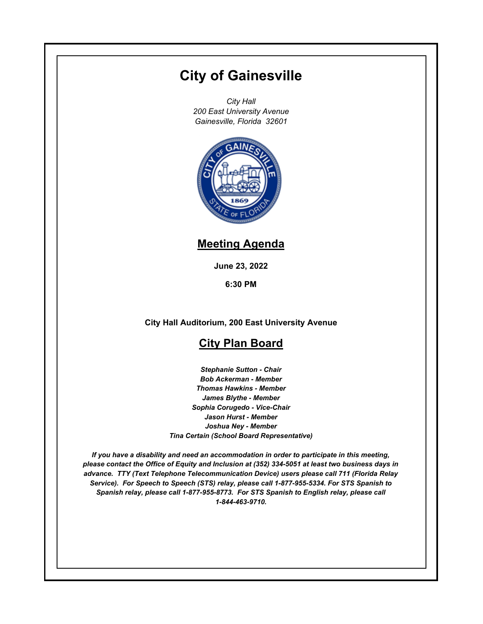# **City of Gainesville**

*City Hall 200 East University Avenue Gainesville, Florida 32601*



## **Meeting Agenda**

**June 23, 2022**

**6:30 PM**

**City Hall Auditorium, 200 East University Avenue**

## **City Plan Board**

*Stephanie Sutton - Chair Bob Ackerman - Member Thomas Hawkins - Member James Blythe - Member Sophia Corugedo - Vice-Chair Jason Hurst - Member Joshua Ney - Member Tina Certain (School Board Representative)*

*If you have a disability and need an accommodation in order to participate in this meeting, please contact the Office of Equity and Inclusion at (352) 334-5051 at least two business days in advance. TTY (Text Telephone Telecommunication Device) users please call 711 (Florida Relay Service). For Speech to Speech (STS) relay, please call 1-877-955-5334. For STS Spanish to Spanish relay, please call 1-877-955-8773. For STS Spanish to English relay, please call 1-844-463-9710.*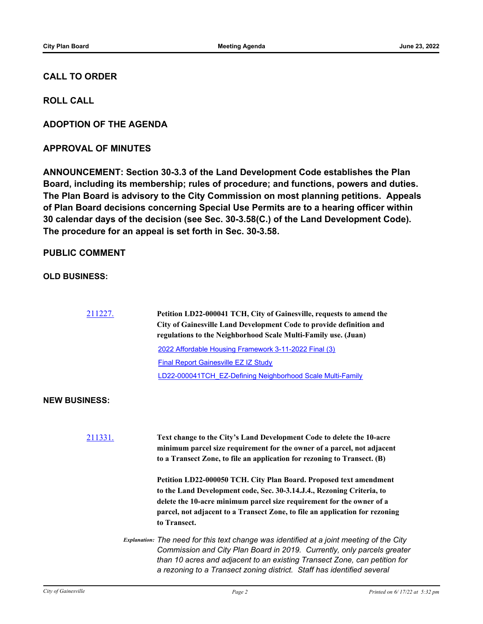### **CALL TO ORDER**

**ROLL CALL**

**ADOPTION OF THE AGENDA**

**APPROVAL OF MINUTES**

**ANNOUNCEMENT: Section 30-3.3 of the Land Development Code establishes the Plan Board, including its membership; rules of procedure; and functions, powers and duties. The Plan Board is advisory to the City Commission on most planning petitions. Appeals of Plan Board decisions concerning Special Use Permits are to a hearing officer within 30 calendar days of the decision (see Sec. 30-3.58(C.) of the Land Development Code). The procedure for an appeal is set forth in Sec. 30-3.58.**

#### **PUBLIC COMMENT**

**OLD BUSINESS:**

[211227.](http://gainesville.legistar.com/gateway.aspx?m=l&id=/matter.aspx?key=34009) **Petition LD22-000041 TCH, City of Gainesville, requests to amend the City of Gainesville Land Development Code to provide definition and regulations to the Neighborhood Scale Multi-Family use. (Juan)** [2022 Affordable Housing Framework 3-11-2022 Final \(3\)](http://Gainesville.legistar.com/gateway.aspx?M=F&ID=36e6559f-c968-41e0-b75f-db6b28039677.pdf) [Final Report Gainesville EZ IZ Study](http://Gainesville.legistar.com/gateway.aspx?M=F&ID=39092e7f-d0b1-4d77-bf9e-aadd5d422780.pdf) [LD22-000041TCH\\_EZ-Defining Neighborhood Scale Multi-Family](http://Gainesville.legistar.com/gateway.aspx?M=F&ID=d992c650-0ffa-4f07-8ffb-fe4723e4c1e2.pdf)

#### **NEW BUSINESS:**

[211331.](http://gainesville.legistar.com/gateway.aspx?m=l&id=/matter.aspx?key=34113) **Text change to the City's Land Development Code to delete the 10-acre minimum parcel size requirement for the owner of a parcel, not adjacent to a Transect Zone, to file an application for rezoning to Transect. (B) Petition LD22-000050 TCH. City Plan Board. Proposed text amendment to the Land Development code, Sec. 30-3.14.J.4., Rezoning Criteria, to delete the 10-acre minimum parcel size requirement for the owner of a parcel, not adjacent to a Transect Zone, to file an application for rezoning to Transect.** *Explanation: The need for this text change was identified at a joint meeting of the City Commission and City Plan Board in 2019. Currently, only parcels greater than 10 acres and adjacent to an existing Transect Zone, can petition for a rezoning to a Transect zoning district. Staff has identified several*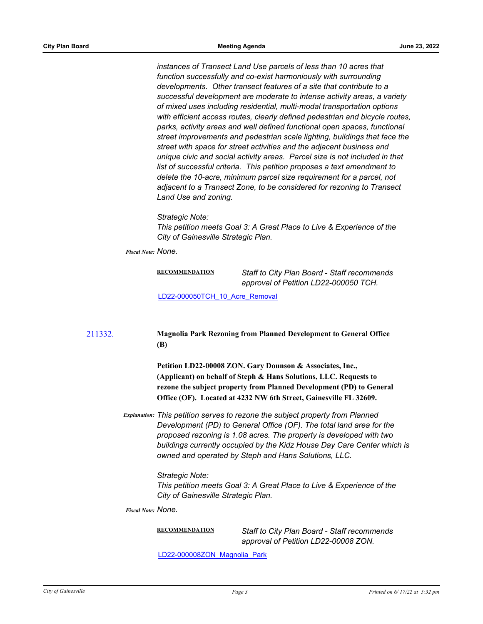*instances of Transect Land Use parcels of less than 10 acres that function successfully and co-exist harmoniously with surrounding developments. Other transect features of a site that contribute to a successful development are moderate to intense activity areas, a variety of mixed uses including residential, multi-modal transportation options with efficient access routes, clearly defined pedestrian and bicycle routes, parks, activity areas and well defined functional open spaces, functional street improvements and pedestrian scale lighting, buildings that face the street with space for street activities and the adjacent business and unique civic and social activity areas. Parcel size is not included in that list of successful criteria. This petition proposes a text amendment to delete the 10-acre, minimum parcel size requirement for a parcel, not adjacent to a Transect Zone, to be considered for rezoning to Transect Land Use and zoning.*

*Strategic Note:*

*This petition meets Goal 3: A Great Place to Live & Experience of the City of Gainesville Strategic Plan.*

*Fiscal Note: None.*

| RECOMMENDATION | Staff to City Plan Board - Staff recommends |
|----------------|---------------------------------------------|
|                | approval of Petition LD22-000050 TCH.       |

[LD22-000050TCH\\_10\\_Acre\\_Removal](http://Gainesville.legistar.com/gateway.aspx?M=F&ID=363084c5-5f2a-4c56-95c6-4bcb3a987d5d.pdf)

#### [211332.](http://gainesville.legistar.com/gateway.aspx?m=l&id=/matter.aspx?key=34114) **Magnolia Park Rezoning from Planned Development to General Office (B)**

**Petition LD22-00008 ZON. Gary Dounson & Associates, Inc., (Applicant) on behalf of Steph & Hans Solutions, LLC. Requests to rezone the subject property from Planned Development (PD) to General Office (OF). Located at 4232 NW 6th Street, Gainesville FL 32609.**

*Explanation: This petition serves to rezone the subject property from Planned Development (PD) to General Office (OF). The total land area for the proposed rezoning is 1.08 acres. The property is developed with two buildings currently occupied by the Kidz House Day Care Center which is owned and operated by Steph and Hans Solutions, LLC.*

*Strategic Note:*

*This petition meets Goal 3: A Great Place to Live & Experience of the City of Gainesville Strategic Plan.*

*Fiscal Note: None.*

**RECOMMENDATION** *Staff to City Plan Board - Staff recommends approval of Petition LD22-00008 ZON.*

[LD22-000008ZON\\_Magnolia\\_Park](http://Gainesville.legistar.com/gateway.aspx?M=F&ID=a67611d7-8909-483a-b869-92ec1c204962.pdf)